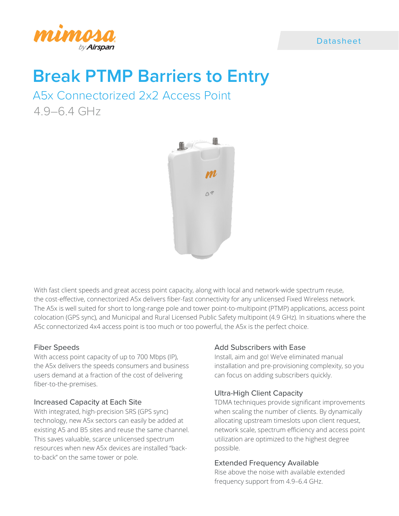

# Datasheet

# **Break PTMP Barriers to Entry**

A5x Connectorized 2x2 Access Point 4.9–6.4 GHz



With fast client speeds and great access point capacity, along with local and network-wide spectrum reuse, the cost-effective, connectorized A5x delivers fiber-fast connectivity for any unlicensed Fixed Wireless network. The A5x is well suited for short to long-range pole and tower point-to-multipoint (PTMP) applications, access point colocation (GPS sync), and Municipal and Rural Licensed Public Safety multipoint (4.9 GHz). In situations where the A5c connectorized 4x4 access point is too much or too powerful, the A5x is the perfect choice.

#### Fiber Speeds

With access point capacity of up to 700 Mbps (IP), the A5x delivers the speeds consumers and business users demand at a fraction of the cost of delivering fiber-to-the-premises.

#### Increased Capacity at Each Site

With integrated, high-precision SRS (GPS sync) technology, new A5x sectors can easily be added at existing A5 and B5 sites and reuse the same channel. This saves valuable, scarce unlicensed spectrum resources when new A5x devices are installed "backto-back" on the same tower or pole.

### Add Subscribers with Ease

Install, aim and go! We've eliminated manual installation and pre-provisioning complexity, so you can focus on adding subscribers quickly.

#### Ultra-High Client Capacity

TDMA techniques provide significant improvements when scaling the number of clients. By dynamically allocating upstream timeslots upon client request, network scale, spectrum efficiency and access point utilization are optimized to the highest degree possible.

#### Extended Frequency Available

Rise above the noise with available extended frequency support from 4.9–6.4 GHz.